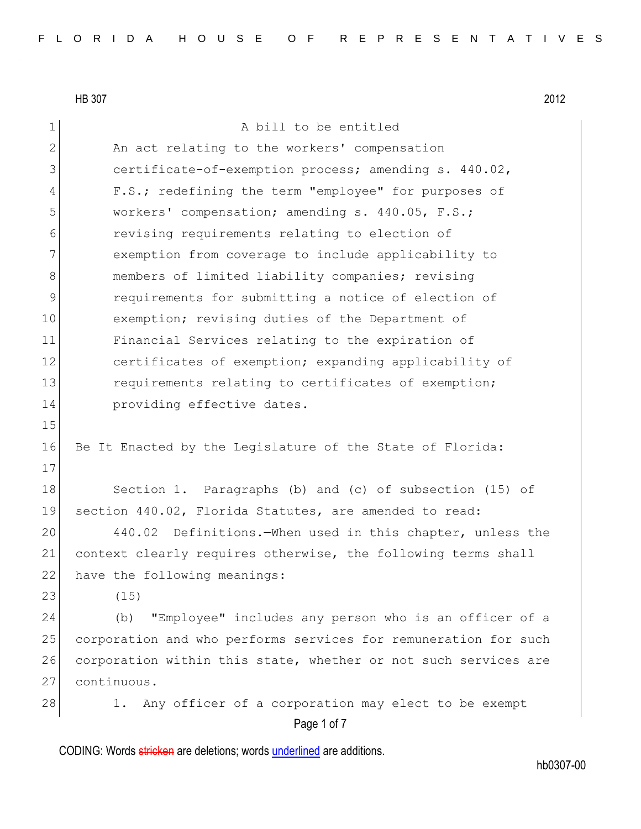Page 1 of 7 1 A bill to be entitled 2 An act relating to the workers' compensation 3 **Super** certificate-of-exemption process; amending s. 440.02, 4 F.S.; redefining the term "employee" for purposes of 5 workers' compensation; amending s. 440.05, F.S.; 6 revising requirements relating to election of 7 exemption from coverage to include applicability to 8 members of limited liability companies; revising 9 requirements for submitting a notice of election of 10 exemption; revising duties of the Department of 11 Financial Services relating to the expiration of 12 certificates of exemption; expanding applicability of 13 requirements relating to certificates of exemption; 14 **providing effective dates.** 15 16 Be It Enacted by the Legislature of the State of Florida: 17 18 Section 1. Paragraphs (b) and (c) of subsection (15) of 19 section 440.02, Florida Statutes, are amended to read: 20 440.02 Definitions.—When used in this chapter, unless the 21 context clearly requires otherwise, the following terms shall 22 have the following meanings: 23 (15) 24 (b) "Employee" includes any person who is an officer of a 25 corporation and who performs services for remuneration for such 26 corporation within this state, whether or not such services are 27 continuous. 28 1. Any officer of a corporation may elect to be exempt

CODING: Words stricken are deletions; words underlined are additions.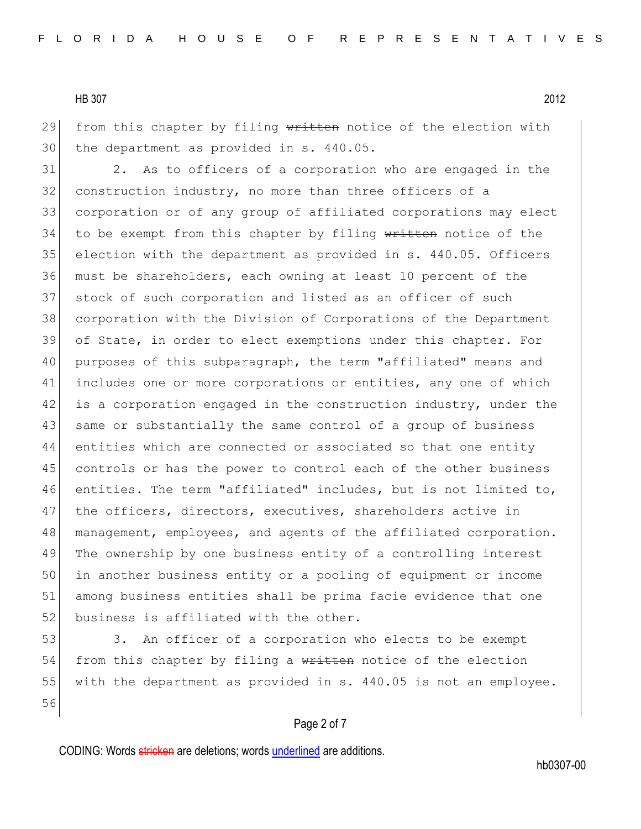29 from this chapter by filing  $w$ ritten notice of the election with 30 the department as provided in s. 440.05.

 2. As to officers of a corporation who are engaged in the 32 construction industry, no more than three officers of a corporation or of any group of affiliated corporations may elect 34 to be exempt from this chapter by filing written notice of the election with the department as provided in s. 440.05. Officers must be shareholders, each owning at least 10 percent of the 37 stock of such corporation and listed as an officer of such corporation with the Division of Corporations of the Department of State, in order to elect exemptions under this chapter. For purposes of this subparagraph, the term "affiliated" means and includes one or more corporations or entities, any one of which 42 is a corporation engaged in the construction industry, under the 43 same or substantially the same control of a group of business 44 entities which are connected or associated so that one entity controls or has the power to control each of the other business entities. The term "affiliated" includes, but is not limited to, 47 the officers, directors, executives, shareholders active in management, employees, and agents of the affiliated corporation. The ownership by one business entity of a controlling interest in another business entity or a pooling of equipment or income among business entities shall be prima facie evidence that one 52 business is affiliated with the other.

53 3. An officer of a corporation who elects to be exempt 54 from this chapter by filing a written notice of the election 55 with the department as provided in s. 440.05 is not an employee. 56

#### Page 2 of 7

CODING: Words stricken are deletions; words underlined are additions.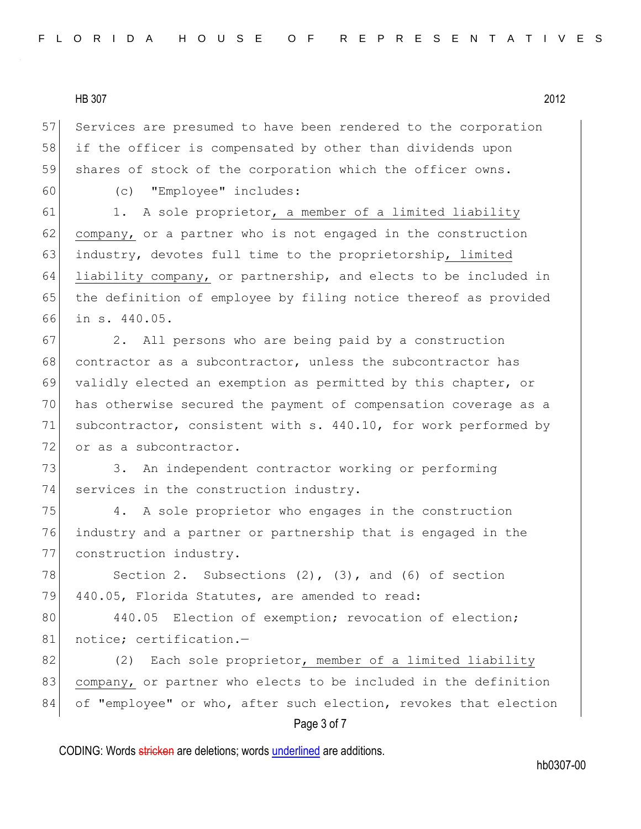57 Services are presumed to have been rendered to the corporation 58 if the officer is compensated by other than dividends upon 59 shares of stock of the corporation which the officer owns.

60 (c) "Employee" includes:

61 1. A sole proprietor, a member of a limited liability 62 company, or a partner who is not engaged in the construction 63 industry, devotes full time to the proprietorship, limited 64 liability company, or partnership, and elects to be included in 65 the definition of employee by filing notice thereof as provided 66 in s. 440.05.

67 2. All persons who are being paid by a construction 68 contractor as a subcontractor, unless the subcontractor has 69 validly elected an exemption as permitted by this chapter, or 70 has otherwise secured the payment of compensation coverage as a 71 subcontractor, consistent with s. 440.10, for work performed by 72 or as a subcontractor.

73 3. An independent contractor working or performing 74 services in the construction industry.

75 4. A sole proprietor who engages in the construction 76 industry and a partner or partnership that is engaged in the 77 construction industry.

78 Section 2. Subsections  $(2)$ ,  $(3)$ , and  $(6)$  of section 79 440.05, Florida Statutes, are amended to read:

80 440.05 Election of exemption; revocation of election; 81 notice; certification.-

82 (2) Each sole proprietor, member of a limited liability 83 company, or partner who elects to be included in the definition 84 of "employee" or who, after such election, revokes that election

# Page 3 of 7

CODING: Words stricken are deletions; words underlined are additions.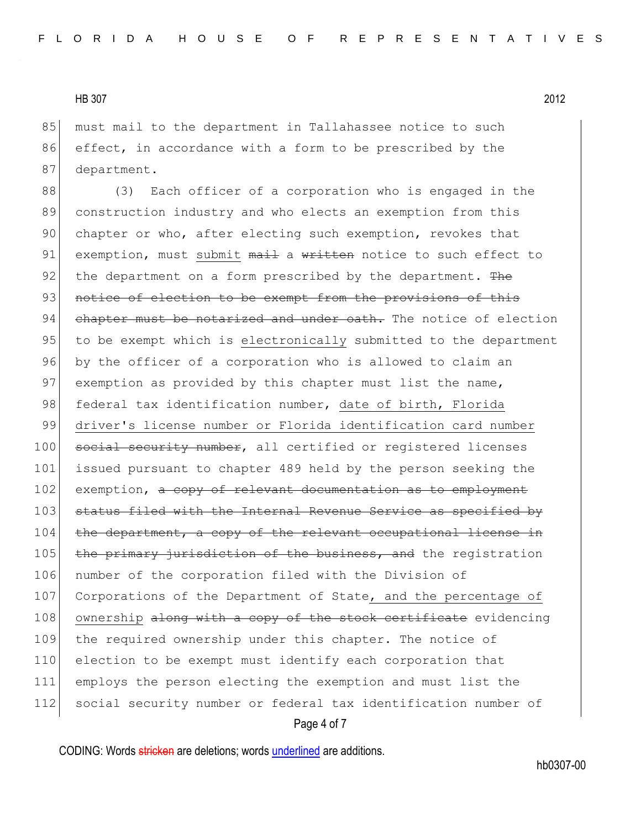85 must mail to the department in Tallahassee notice to such 86 effect, in accordance with a form to be prescribed by the 87 department.

88 (3) Each officer of a corporation who is engaged in the 89 construction industry and who elects an exemption from this 90 chapter or who, after electing such exemption, revokes that 91 exemption, must submit mail a written notice to such effect to 92 the department on a form prescribed by the department. The 93 notice of election to be exempt from the provisions of this 94 chapter must be notarized and under oath. The notice of election 95 to be exempt which is electronically submitted to the department 96 by the officer of a corporation who is allowed to claim an 97 exemption as provided by this chapter must list the name, 98 federal tax identification number, date of birth, Florida 99 driver's license number or Florida identification card number 100 social security number, all certified or registered licenses 101 issued pursuant to chapter 489 held by the person seeking the 102 exemption, a copy of relevant documentation as to employment 103 status filed with the Internal Revenue Service as specified by 104 the department, a copy of the relevant occupational license in 105 the primary jurisdiction of the business, and the registration 106 number of the corporation filed with the Division of 107 Corporations of the Department of State, and the percentage of 108 ownership along with a copy of the stock certificate evidencing 109 the required ownership under this chapter. The notice of 110 election to be exempt must identify each corporation that 111 employs the person electing the exemption and must list the 112 social security number or federal tax identification number of

## Page 4 of 7

CODING: Words stricken are deletions; words underlined are additions.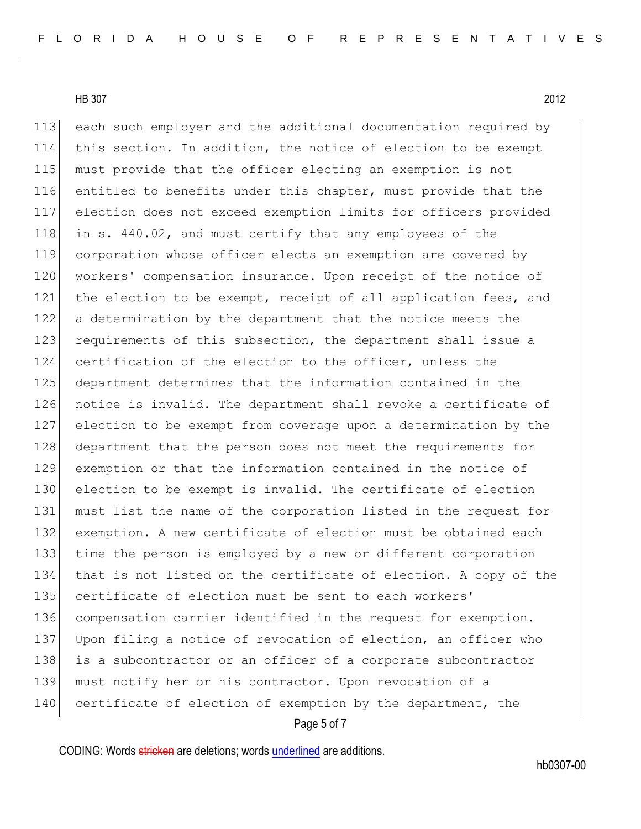each such employer and the additional documentation required by this section. In addition, the notice of election to be exempt must provide that the officer electing an exemption is not entitled to benefits under this chapter, must provide that the election does not exceed exemption limits for officers provided 118 in s. 440.02, and must certify that any employees of the corporation whose officer elects an exemption are covered by 120 workers' compensation insurance. Upon receipt of the notice of 121 the election to be exempt, receipt of all application fees, and a determination by the department that the notice meets the 123 requirements of this subsection, the department shall issue a certification of the election to the officer, unless the department determines that the information contained in the 126 notice is invalid. The department shall revoke a certificate of election to be exempt from coverage upon a determination by the department that the person does not meet the requirements for exemption or that the information contained in the notice of 130 election to be exempt is invalid. The certificate of election must list the name of the corporation listed in the request for exemption. A new certificate of election must be obtained each time the person is employed by a new or different corporation that is not listed on the certificate of election. A copy of the certificate of election must be sent to each workers' compensation carrier identified in the request for exemption. 137 Upon filing a notice of revocation of election, an officer who 138 is a subcontractor or an officer of a corporate subcontractor must notify her or his contractor. Upon revocation of a 140 certificate of election of exemption by the department, the

#### Page 5 of 7

CODING: Words stricken are deletions; words underlined are additions.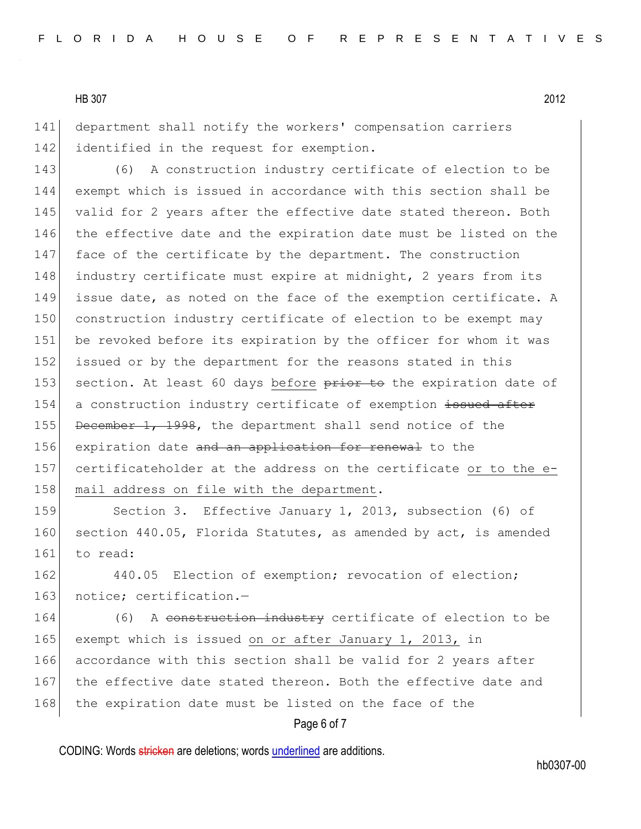141 department shall notify the workers' compensation carriers 142 identified in the request for exemption.

143 (6) A construction industry certificate of election to be 144 exempt which is issued in accordance with this section shall be 145 valid for 2 years after the effective date stated thereon. Both 146 the effective date and the expiration date must be listed on the 147 face of the certificate by the department. The construction 148 industry certificate must expire at midnight, 2 years from its 149 issue date, as noted on the face of the exemption certificate. A 150 construction industry certificate of election to be exempt may 151 be revoked before its expiration by the officer for whom it was 152 issued or by the department for the reasons stated in this 153 section. At least 60 days before prior to the expiration date of 154 a construction industry certificate of exemption issued after 155 December 1, 1998, the department shall send notice of the 156 expiration date and an application for renewal to the 157 certificateholder at the address on the certificate or to the e-158 mail address on file with the department.

159 Section 3. Effective January 1, 2013, subsection (6) of 160 section 440.05, Florida Statutes, as amended by act, is amended 161 to read:

162 440.05 Election of exemption; revocation of election; 163 notice; certification.-

164 (6) A construction industry certificate of election to be 165 exempt which is issued on or after January 1, 2013, in 166 accordance with this section shall be valid for 2 years after 167 the effective date stated thereon. Both the effective date and 168 the expiration date must be listed on the face of the

## Page 6 of 7

CODING: Words stricken are deletions; words underlined are additions.